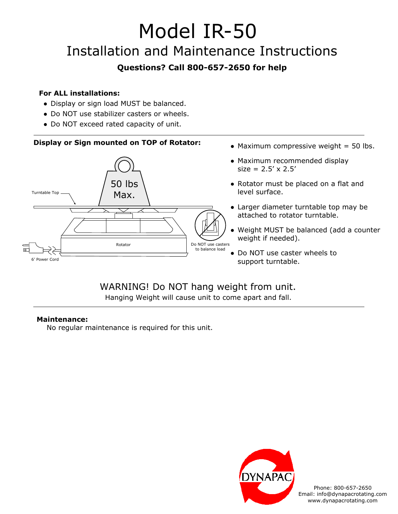# Model IR-50

## Installation and Maintenance Instructions

### **Questions? Call 800-657-2650 for help**

#### **For ALL installations:**

- Display or sign load MUST be balanced.
- Do NOT use stabilizer casters or wheels.
- Do NOT exceed rated capacity of unit.

#### **Display or Sign mounted on TOP of Rotator:**



- $\bullet$  Maximum compressive weight = 50 lbs.
- Maximum recommended display  $size = 2.5' \times 2.5'$
- Rotator must be placed on a flat and level surface.
- Larger diameter turntable top may be attached to rotator turntable.
- Weight MUST be balanced (add a counter weight if needed).
- Do NOT use caster wheels to support turntable.

#### WARNING! Do NOT hang weight from unit. Hanging Weight will cause unit to come apart and fall.

#### **Maintenance:**

No regular maintenance is required for this unit.



Phone: 800-657-2650 Email: info@dynapacrotating.com www.dynapacrotating.com